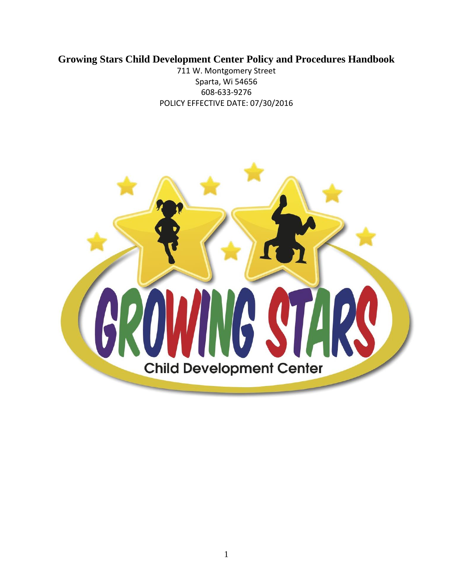# **Growing Stars Child Development Center Policy and Procedures Handbook**

711 W. Montgomery Street Sparta, Wi 54656 608-633-9276 POLICY EFFECTIVE DATE: 07/30/2016

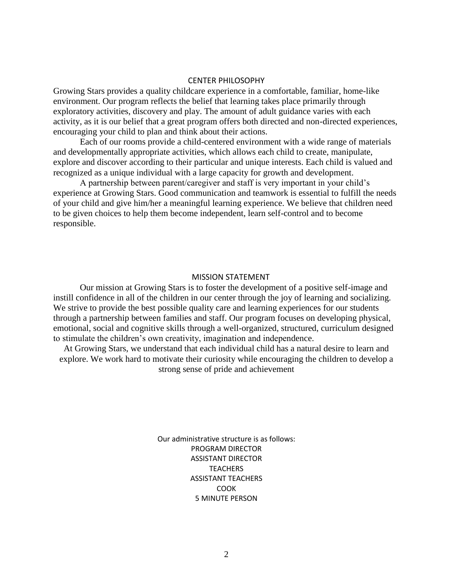#### CENTER PHILOSOPHY

Growing Stars provides a quality childcare experience in a comfortable, familiar, home-like environment. Our program reflects the belief that learning takes place primarily through exploratory activities, discovery and play. The amount of adult guidance varies with each activity, as it is our belief that a great program offers both directed and non-directed experiences, encouraging your child to plan and think about their actions.

Each of our rooms provide a child-centered environment with a wide range of materials and developmentally appropriate activities, which allows each child to create, manipulate, explore and discover according to their particular and unique interests. Each child is valued and recognized as a unique individual with a large capacity for growth and development.

A partnership between parent/caregiver and staff is very important in your child's experience at Growing Stars. Good communication and teamwork is essential to fulfill the needs of your child and give him/her a meaningful learning experience. We believe that children need to be given choices to help them become independent, learn self-control and to become responsible.

#### MISSION STATEMENT

Our mission at Growing Stars is to foster the development of a positive self-image and instill confidence in all of the children in our center through the joy of learning and socializing. We strive to provide the best possible quality care and learning experiences for our students through a partnership between families and staff. Our program focuses on developing physical, emotional, social and cognitive skills through a well-organized, structured, curriculum designed to stimulate the children's own creativity, imagination and independence.

At Growing Stars, we understand that each individual child has a natural desire to learn and explore. We work hard to motivate their curiosity while encouraging the children to develop a strong sense of pride and achievement

> Our administrative structure is as follows: PROGRAM DIRECTOR ASSISTANT DIRECTOR **TEACHERS** ASSISTANT TEACHERS COOK 5 MINUTE PERSON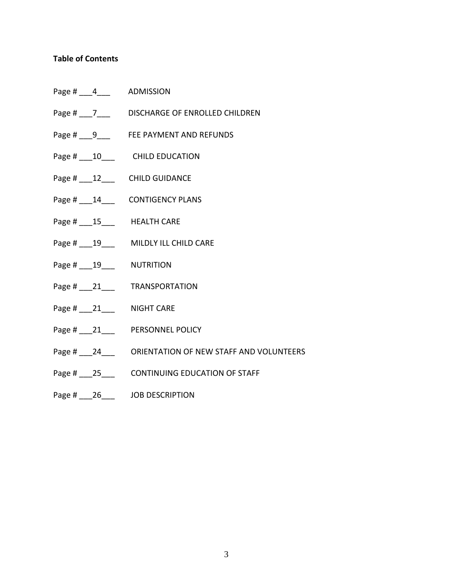# **Table of Contents**

- Page # \_\_\_ 4\_\_\_\_ ADMISSION
- Page # \_\_\_7\_\_\_\_ DISCHARGE OF ENROLLED CHILDREN
- Page # \_\_\_9\_\_\_ FEE PAYMENT AND REFUNDS
- Page # \_\_\_10\_\_\_ CHILD EDUCATION
- Page # \_\_\_12\_\_\_\_ CHILD GUIDANCE
- Page #  $14$  CONTIGENCY PLANS
- Page # \_\_\_\_15\_\_\_\_ HEALTH CARE
- Page # \_\_\_\_19\_\_\_\_ MILDLY ILL CHILD CARE
- Page # \_\_\_\_ 19 \_\_\_\_ NUTRITION
- Page # \_\_\_\_\_ 21\_\_\_\_ TRANSPORTATION
- Page # \_\_\_\_21\_\_\_\_ NIGHT CARE
- Page # \_\_\_21\_\_\_ PERSONNEL POLICY
- Page # \_\_\_24\_\_\_ ORIENTATION OF NEW STAFF AND VOLUNTEERS
- Page # \_\_\_25\_\_\_ CONTINUING EDUCATION OF STAFF
- Page # \_\_\_\_26\_\_\_\_ JOB DESCRIPTION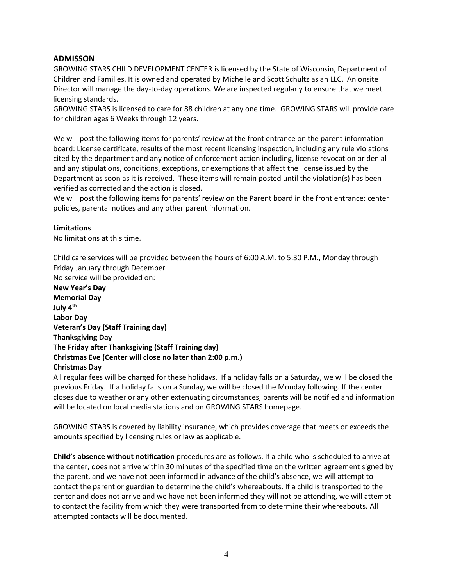# **ADMISSON**

GROWING STARS CHILD DEVELOPMENT CENTER is licensed by the State of Wisconsin, Department of Children and Families. It is owned and operated by Michelle and Scott Schultz as an LLC. An onsite Director will manage the day-to-day operations. We are inspected regularly to ensure that we meet licensing standards.

GROWING STARS is licensed to care for 88 children at any one time. GROWING STARS will provide care for children ages 6 Weeks through 12 years.

We will post the following items for parents' review at the front entrance on the parent information board: License certificate, results of the most recent licensing inspection, including any rule violations cited by the department and any notice of enforcement action including, license revocation or denial and any stipulations, conditions, exceptions, or exemptions that affect the license issued by the Department as soon as it is received. These items will remain posted until the violation(s) has been verified as corrected and the action is closed.

We will post the following items for parents' review on the Parent board in the front entrance: center policies, parental notices and any other parent information.

#### **Limitations**

No limitations at this time.

Child care services will be provided between the hours of 6:00 A.M. to 5:30 P.M., Monday through Friday January through December

No service will be provided on:

**New Year's Day Memorial Day July 4th Labor Day Veteran's Day (Staff Training day) Thanksgiving Day The Friday after Thanksgiving (Staff Training day) Christmas Eve (Center will close no later than 2:00 p.m.) Christmas Day**

All regular fees will be charged for these holidays. If a holiday falls on a Saturday, we will be closed the previous Friday. If a holiday falls on a Sunday, we will be closed the Monday following. If the center closes due to weather or any other extenuating circumstances, parents will be notified and information will be located on local media stations and on GROWING STARS homepage.

GROWING STARS is covered by liability insurance, which provides coverage that meets or exceeds the amounts specified by licensing rules or law as applicable.

**Child's absence without notification** procedures are as follows. If a child who is scheduled to arrive at the center, does not arrive within 30 minutes of the specified time on the written agreement signed by the parent, and we have not been informed in advance of the child's absence, we will attempt to contact the parent or guardian to determine the child's whereabouts. If a child is transported to the center and does not arrive and we have not been informed they will not be attending, we will attempt to contact the facility from which they were transported from to determine their whereabouts. All attempted contacts will be documented.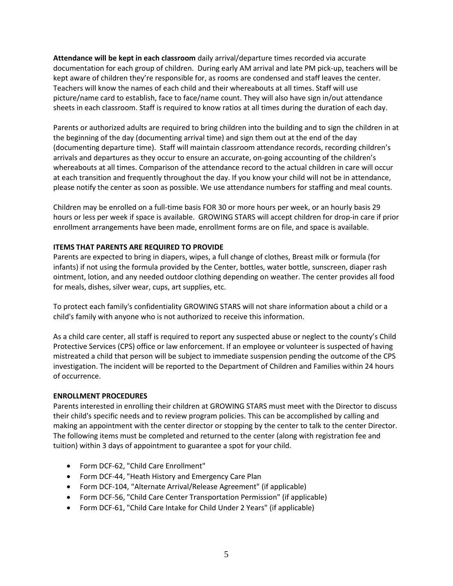**Attendance will be kept in each classroom** daily arrival/departure times recorded via accurate documentation for each group of children. During early AM arrival and late PM pick-up, teachers will be kept aware of children they're responsible for, as rooms are condensed and staff leaves the center. Teachers will know the names of each child and their whereabouts at all times. Staff will use picture/name card to establish, face to face/name count. They will also have sign in/out attendance sheets in each classroom. Staff is required to know ratios at all times during the duration of each day.

Parents or authorized adults are required to bring children into the building and to sign the children in at the beginning of the day (documenting arrival time) and sign them out at the end of the day (documenting departure time). Staff will maintain classroom attendance records, recording children's arrivals and departures as they occur to ensure an accurate, on-going accounting of the children's whereabouts at all times. Comparison of the attendance record to the actual children in care will occur at each transition and frequently throughout the day. If you know your child will not be in attendance, please notify the center as soon as possible. We use attendance numbers for staffing and meal counts.

Children may be enrolled on a full-time basis FOR 30 or more hours per week, or an hourly basis 29 hours or less per week if space is available. GROWING STARS will accept children for drop-in care if prior enrollment arrangements have been made, enrollment forms are on file, and space is available.

## **ITEMS THAT PARENTS ARE REQUIRED TO PROVIDE**

Parents are expected to bring in diapers, wipes, a full change of clothes, Breast milk or formula (for infants) if not using the formula provided by the Center, bottles, water bottle, sunscreen, diaper rash ointment, lotion, and any needed outdoor clothing depending on weather. The center provides all food for meals, dishes, silver wear, cups, art supplies, etc.

To protect each family's confidentiality GROWING STARS will not share information about a child or a child's family with anyone who is not authorized to receive this information.

As a child care center, all staff is required to report any suspected abuse or neglect to the county's Child Protective Services (CPS) office or law enforcement. If an employee or volunteer is suspected of having mistreated a child that person will be subject to immediate suspension pending the outcome of the CPS investigation. The incident will be reported to the Department of Children and Families within 24 hours of occurrence.

#### **ENROLLMENT PROCEDURES**

Parents interested in enrolling their children at GROWING STARS must meet with the Director to discuss their child's specific needs and to review program policies. This can be accomplished by calling and making an appointment with the center director or stopping by the center to talk to the center Director. The following items must be completed and returned to the center (along with registration fee and tuition) within 3 days of appointment to guarantee a spot for your child.

- Form DCF-62, "Child Care Enrollment"
- Form DCF-44, "Heath History and Emergency Care Plan
- Form DCF-104, "Alternate Arrival/Release Agreement" (if applicable)
- Form DCF-56, "Child Care Center Transportation Permission" (if applicable)
- Form DCF-61, "Child Care Intake for Child Under 2 Years" (if applicable)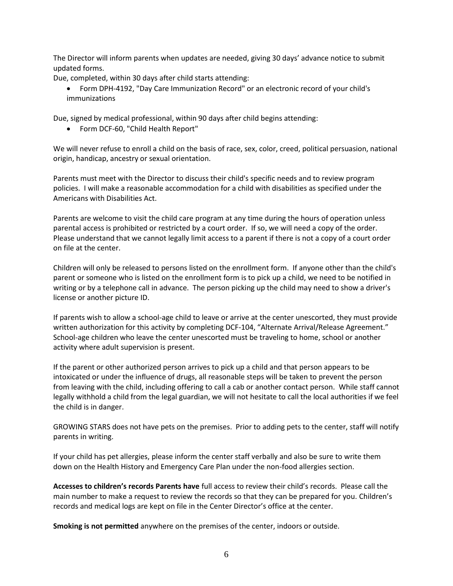The Director will inform parents when updates are needed, giving 30 days' advance notice to submit updated forms.

Due, completed, within 30 days after child starts attending:

 Form DPH-4192, "Day Care Immunization Record" or an electronic record of your child's immunizations

Due, signed by medical professional, within 90 days after child begins attending:

Form DCF-60, "Child Health Report"

We will never refuse to enroll a child on the basis of race, sex, color, creed, political persuasion, national origin, handicap, ancestry or sexual orientation.

Parents must meet with the Director to discuss their child's specific needs and to review program policies. I will make a reasonable accommodation for a child with disabilities as specified under the Americans with Disabilities Act.

Parents are welcome to visit the child care program at any time during the hours of operation unless parental access is prohibited or restricted by a court order. If so, we will need a copy of the order. Please understand that we cannot legally limit access to a parent if there is not a copy of a court order on file at the center.

Children will only be released to persons listed on the enrollment form. If anyone other than the child's parent or someone who is listed on the enrollment form is to pick up a child, we need to be notified in writing or by a telephone call in advance. The person picking up the child may need to show a driver's license or another picture ID.

If parents wish to allow a school-age child to leave or arrive at the center unescorted, they must provide written authorization for this activity by completing DCF-104, "Alternate Arrival/Release Agreement." School-age children who leave the center unescorted must be traveling to home, school or another activity where adult supervision is present.

If the parent or other authorized person arrives to pick up a child and that person appears to be intoxicated or under the influence of drugs, all reasonable steps will be taken to prevent the person from leaving with the child, including offering to call a cab or another contact person. While staff cannot legally withhold a child from the legal guardian, we will not hesitate to call the local authorities if we feel the child is in danger.

GROWING STARS does not have pets on the premises. Prior to adding pets to the center, staff will notify parents in writing.

If your child has pet allergies, please inform the center staff verbally and also be sure to write them down on the Health History and Emergency Care Plan under the non-food allergies section.

**Accesses to children's records Parents have** full access to review their child's records. Please call the main number to make a request to review the records so that they can be prepared for you. Children's records and medical logs are kept on file in the Center Director's office at the center.

**Smoking is not permitted** anywhere on the premises of the center, indoors or outside.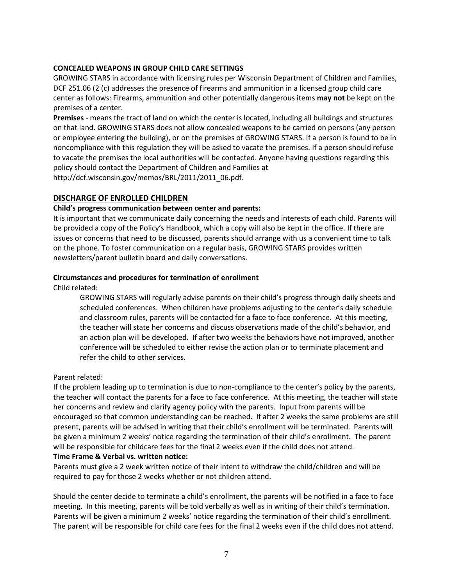## **CONCEALED WEAPONS IN GROUP CHILD CARE SETTINGS**

GROWING STARS in accordance with licensing rules per Wisconsin Department of Children and Families, DCF 251.06 (2 (c) addresses the presence of firearms and ammunition in a licensed group child care center as follows: Firearms, ammunition and other potentially dangerous items **may not** be kept on the premises of a center.

**Premises** - means the tract of land on which the center is located, including all buildings and structures on that land. GROWING STARS does not allow concealed weapons to be carried on persons (any person or employee entering the building), or on the premises of GROWING STARS. If a person is found to be in noncompliance with this regulation they will be asked to vacate the premises. If a person should refuse to vacate the premises the local authorities will be contacted. Anyone having questions regarding this policy should contact the Department of Children and Families at [http://dcf.wisconsin.gov/memos/BRL/2011/2011\\_06.pdf.](http://dcf.wisconsin.gov/memos/BRL/2011/2011_06.pdf)

# **DISCHARGE OF ENROLLED CHILDREN**

#### **Child's progress communication between center and parents:**

It is important that we communicate daily concerning the needs and interests of each child. Parents will be provided a copy of the Policy's Handbook, which a copy will also be kept in the office. If there are issues or concerns that need to be discussed, parents should arrange with us a convenient time to talk on the phone. To foster communication on a regular basis, GROWING STARS provides written newsletters/parent bulletin board and daily conversations.

#### **Circumstances and procedures for termination of enrollment**

Child related:

GROWING STARS will regularly advise parents on their child's progress through daily sheets and scheduled conferences. When children have problems adjusting to the center's daily schedule and classroom rules, parents will be contacted for a face to face conference. At this meeting, the teacher will state her concerns and discuss observations made of the child's behavior, and an action plan will be developed. If after two weeks the behaviors have not improved, another conference will be scheduled to either revise the action plan or to terminate placement and refer the child to other services.

#### Parent related:

If the problem leading up to termination is due to non-compliance to the center's policy by the parents, the teacher will contact the parents for a face to face conference. At this meeting, the teacher will state her concerns and review and clarify agency policy with the parents. Input from parents will be encouraged so that common understanding can be reached. If after 2 weeks the same problems are still present, parents will be advised in writing that their child's enrollment will be terminated. Parents will be given a minimum 2 weeks' notice regarding the termination of their child's enrollment. The parent will be responsible for childcare fees for the final 2 weeks even if the child does not attend.

#### **Time Frame & Verbal vs. written notice:**

Parents must give a 2 week written notice of their intent to withdraw the child/children and will be required to pay for those 2 weeks whether or not children attend.

Should the center decide to terminate a child's enrollment, the parents will be notified in a face to face meeting. In this meeting, parents will be told verbally as well as in writing of their child's termination. Parents will be given a minimum 2 weeks' notice regarding the termination of their child's enrollment. The parent will be responsible for child care fees for the final 2 weeks even if the child does not attend.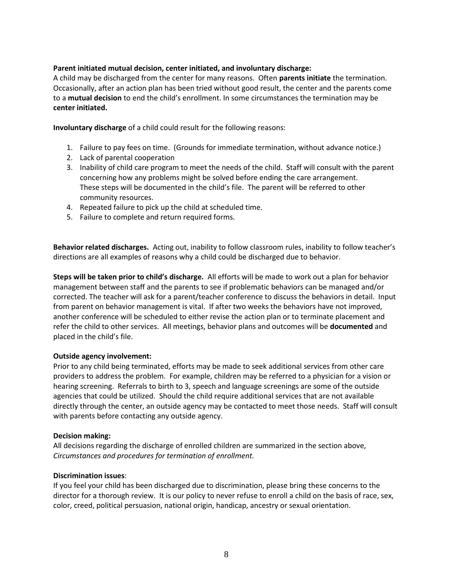## **Parent initiated mutual decision, center initiated, and involuntary discharge:**

A child may be discharged from the center for many reasons. Often **parents initiate** the termination. Occasionally, after an action plan has been tried without good result, the center and the parents come to a **mutual decision** to end the child's enrollment. In some circumstances the termination may be **center initiated.**

**Involuntary discharge** of a child could result for the following reasons:

- 1. Failure to pay fees on time. (Grounds for immediate termination, without advance notice.)
- 2. Lack of parental cooperation
- 3. Inability of child care program to meet the needs of the child. Staff will consult with the parent concerning how any problems might be solved before ending the care arrangement. These steps will be documented in the child's file. The parent will be referred to other community resources.
- 4. Repeated failure to pick up the child at scheduled time.
- 5. Failure to complete and return required forms.

**Behavior related discharges.** Acting out, inability to follow classroom rules, inability to follow teacher's directions are all examples of reasons why a child could be discharged due to behavior.

**Steps will be taken prior to child's discharge.** All efforts will be made to work out a plan for behavior management between staff and the parents to see if problematic behaviors can be managed and/or corrected. The teacher will ask for a parent/teacher conference to discuss the behaviors in detail. Input from parent on behavior management is vital. If after two weeks the behaviors have not improved, another conference will be scheduled to either revise the action plan or to terminate placement and refer the child to other services. All meetings, behavior plans and outcomes will be **documented** and placed in the child's file.

#### **Outside agency involvement:**

Prior to any child being terminated, efforts may be made to seek additional services from other care providers to address the problem. For example, children may be referred to a physician for a vision or hearing screening. Referrals to birth to 3, speech and language screenings are some of the outside agencies that could be utilized. Should the child require additional services that are not available directly through the center, an outside agency may be contacted to meet those needs. Staff will consult with parents before contacting any outside agency.

#### **Decision making:**

All decisions regarding the discharge of enrolled children are summarized in the section above, *Circumstances and procedures for termination of enrollment.*

## **Discrimination issues**:

If you feel your child has been discharged due to discrimination, please bring these concerns to the director for a thorough review. It is our policy to never refuse to enroll a child on the basis of race, sex, color, creed, political persuasion, national origin, handicap, ancestry or sexual orientation.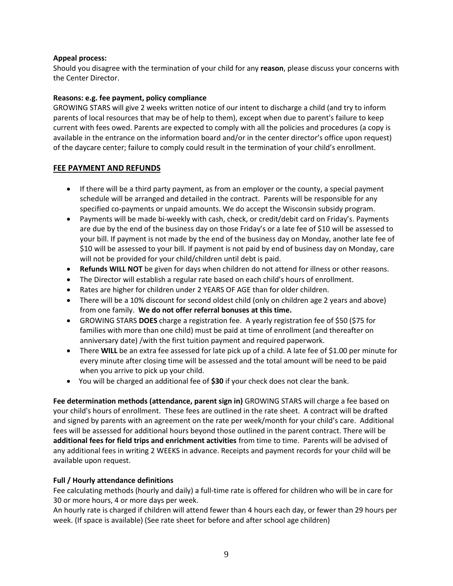## **Appeal process:**

Should you disagree with the termination of your child for any **reason**, please discuss your concerns with the Center Director.

## **Reasons: e.g. fee payment, policy compliance**

GROWING STARS will give 2 weeks written notice of our intent to discharge a child (and try to inform parents of local resources that may be of help to them), except when due to parent's failure to keep current with fees owed. Parents are expected to comply with all the policies and procedures (a copy is available in the entrance on the information board and/or in the center director's office upon request) of the daycare center; failure to comply could result in the termination of your child's enrollment.

# **FEE PAYMENT AND REFUNDS**

- If there will be a third party payment, as from an employer or the county, a special payment schedule will be arranged and detailed in the contract. Parents will be responsible for any specified co-payments or unpaid amounts. We do accept the Wisconsin subsidy program.
- Payments will be made bi-weekly with cash, check, or credit/debit card on Friday's. Payments are due by the end of the business day on those Friday's or a late fee of \$10 will be assessed to your bill. If payment is not made by the end of the business day on Monday, another late fee of \$10 will be assessed to your bill. If payment is not paid by end of business day on Monday, care will not be provided for your child/children until debt is paid.
- **Refunds WILL NOT** be given for days when children do not attend for illness or other reasons.
- The Director will establish a regular rate based on each child's hours of enrollment.
- Rates are higher for children under 2 YEARS OF AGE than for older children.
- There will be a 10% discount for second oldest child (only on children age 2 years and above) from one family. **We do not offer referral bonuses at this time.**
- GROWING STARS **DOES** charge a registration fee. A yearly registration fee of \$50 (\$75 for families with more than one child) must be paid at time of enrollment (and thereafter on anniversary date) /with the first tuition payment and required paperwork.
- There **WILL** be an extra fee assessed for late pick up of a child. A late fee of \$1.00 per minute for every minute after closing time will be assessed and the total amount will be need to be paid when you arrive to pick up your child.
- You will be charged an additional fee of **\$30** if your check does not clear the bank.

**Fee determination methods (attendance, parent sign in)** GROWING STARS will charge a fee based on your child's hours of enrollment. These fees are outlined in the rate sheet. A contract will be drafted and signed by parents with an agreement on the rate per week/month for your child's care. Additional fees will be assessed for additional hours beyond those outlined in the parent contract. There will be **additional fees for field trips and enrichment activities** from time to time. Parents will be advised of any additional fees in writing 2 WEEKS in advance. Receipts and payment records for your child will be available upon request.

# **Full / Hourly attendance definitions**

Fee calculating methods (hourly and daily) a full-time rate is offered for children who will be in care for 30 or more hours, 4 or more days per week.

An hourly rate is charged if children will attend fewer than 4 hours each day, or fewer than 29 hours per week. (If space is available) (See rate sheet for before and after school age children)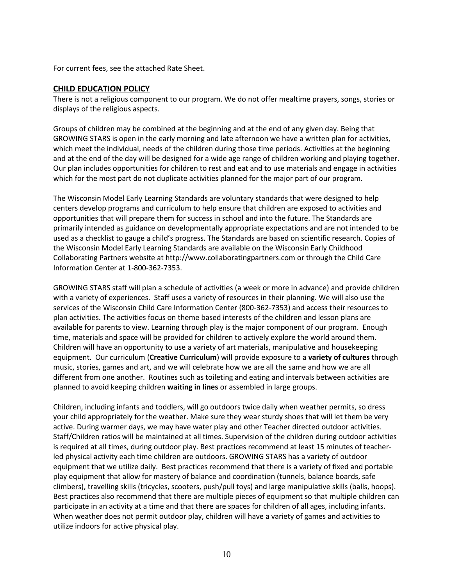#### For current fees, see the attached Rate Sheet.

#### **CHILD EDUCATION POLICY**

There is not a religious component to our program. We do not offer mealtime prayers, songs, stories or displays of the religious aspects.

Groups of children may be combined at the beginning and at the end of any given day. Being that GROWING STARS is open in the early morning and late afternoon we have a written plan for activities, which meet the individual, needs of the children during those time periods. Activities at the beginning and at the end of the day will be designed for a wide age range of children working and playing together. Our plan includes opportunities for children to rest and eat and to use materials and engage in activities which for the most part do not duplicate activities planned for the major part of our program.

The Wisconsin Model Early Learning Standards are voluntary standards that were designed to help centers develop programs and curriculum to help ensure that children are exposed to activities and opportunities that will prepare them for success in school and into the future. The Standards are primarily intended as guidance on developmentally appropriate expectations and are not intended to be used as a checklist to gauge a child's progress. The Standards are based on scientific research. Copies of the Wisconsin Model Early Learning Standards are available on the Wisconsin Early Childhood Collaborating Partners website a[t http://www.collaboratingpartners.com](http://www.collaboratingpartners.com/) or through the Child Care Information Center at 1-800-362-7353.

GROWING STARS staff will plan a schedule of activities (a week or more in advance) and provide children with a variety of experiences. Staff uses a variety of resources in their planning. We will also use the services of the Wisconsin Child Care Information Center (800-362-7353) and access their resources to plan activities. The activities focus on theme based interests of the children and lesson plans are available for parents to view. Learning through play is the major component of our program. Enough time, materials and space will be provided for children to actively explore the world around them. Children will have an opportunity to use a variety of art materials, manipulative and housekeeping equipment. Our curriculum (**Creative Curriculum**) will provide exposure to a **variety of cultures** through music, stories, games and art, and we will celebrate how we are all the same and how we are all different from one another. Routines such as toileting and eating and intervals between activities are planned to avoid keeping children **waiting in lines** or assembled in large groups.

Children, including infants and toddlers, will go outdoors twice daily when weather permits, so dress your child appropriately for the weather. Make sure they wear sturdy shoes that will let them be very active. During warmer days, we may have water play and other Teacher directed outdoor activities. Staff/Children ratios will be maintained at all times. Supervision of the children during outdoor activities is required at all times, during outdoor play. Best practices recommend at least 15 minutes of teacherled physical activity each time children are outdoors. GROWING STARS has a variety of outdoor equipment that we utilize daily. Best practices recommend that there is a variety of fixed and portable play equipment that allow for mastery of balance and coordination (tunnels, balance boards, safe climbers), travelling skills (tricycles, scooters, push/pull toys) and large manipulative skills (balls, hoops). Best practices also recommend that there are multiple pieces of equipment so that multiple children can participate in an activity at a time and that there are spaces for children of all ages, including infants. When weather does not permit outdoor play, children will have a variety of games and activities to utilize indoors for active physical play.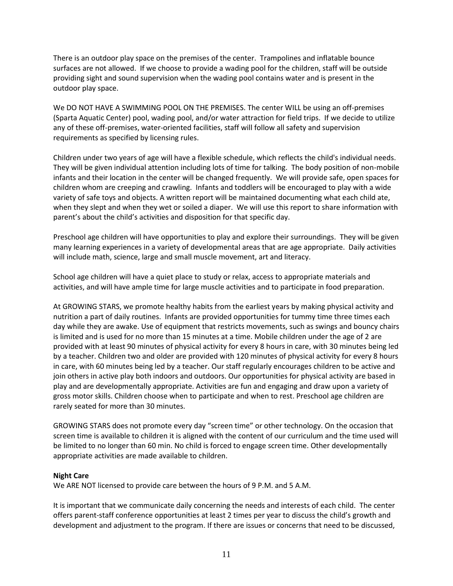There is an outdoor play space on the premises of the center. Trampolines and inflatable bounce surfaces are not allowed. If we choose to provide a wading pool for the children, staff will be outside providing sight and sound supervision when the wading pool contains water and is present in the outdoor play space.

We DO NOT HAVE A SWIMMING POOL ON THE PREMISES. The center WILL be using an off-premises (Sparta Aquatic Center) pool, wading pool, and/or water attraction for field trips. If we decide to utilize any of these off-premises, water-oriented facilities, staff will follow all safety and supervision requirements as specified by licensing rules.

Children under two years of age will have a flexible schedule, which reflects the child's individual needs. They will be given individual attention including lots of time for talking. The body position of non-mobile infants and their location in the center will be changed frequently. We will provide safe, open spaces for children whom are creeping and crawling. Infants and toddlers will be encouraged to play with a wide variety of safe toys and objects. A written report will be maintained documenting what each child ate, when they slept and when they wet or soiled a diaper. We will use this report to share information with parent's about the child's activities and disposition for that specific day.

Preschool age children will have opportunities to play and explore their surroundings. They will be given many learning experiences in a variety of developmental areas that are age appropriate. Daily activities will include math, science, large and small muscle movement, art and literacy.

School age children will have a quiet place to study or relax, access to appropriate materials and activities, and will have ample time for large muscle activities and to participate in food preparation.

At GROWING STARS, we promote healthy habits from the earliest years by making physical activity and nutrition a part of daily routines. Infants are provided opportunities for tummy time three times each day while they are awake. Use of equipment that restricts movements, such as swings and bouncy chairs is limited and is used for no more than 15 minutes at a time. Mobile children under the age of 2 are provided with at least 90 minutes of physical activity for every 8 hours in care, with 30 minutes being led by a teacher. Children two and older are provided with 120 minutes of physical activity for every 8 hours in care, with 60 minutes being led by a teacher. Our staff regularly encourages children to be active and join others in active play both indoors and outdoors. Our opportunities for physical activity are based in play and are developmentally appropriate. Activities are fun and engaging and draw upon a variety of gross motor skills. Children choose when to participate and when to rest. Preschool age children are rarely seated for more than 30 minutes.

GROWING STARS does not promote every day "screen time" or other technology. On the occasion that screen time is available to children it is aligned with the content of our curriculum and the time used will be limited to no longer than 60 min. No child is forced to engage screen time. Other developmentally appropriate activities are made available to children.

#### **Night Care**

We ARE NOT licensed to provide care between the hours of 9 P.M. and 5 A.M.

It is important that we communicate daily concerning the needs and interests of each child. The center offers parent-staff conference opportunities at least 2 times per year to discuss the child's growth and development and adjustment to the program. If there are issues or concerns that need to be discussed,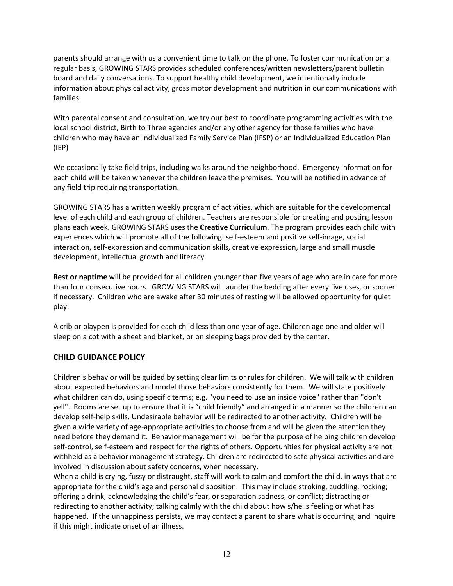parents should arrange with us a convenient time to talk on the phone. To foster communication on a regular basis, GROWING STARS provides scheduled conferences/written newsletters/parent bulletin board and daily conversations. To support healthy child development, we intentionally include information about physical activity, gross motor development and nutrition in our communications with families.

With parental consent and consultation, we try our best to coordinate programming activities with the local school district, Birth to Three agencies and/or any other agency for those families who have children who may have an Individualized Family Service Plan (IFSP) or an Individualized Education Plan (IEP)

We occasionally take field trips, including walks around the neighborhood. Emergency information for each child will be taken whenever the children leave the premises. You will be notified in advance of any field trip requiring transportation.

GROWING STARS has a written weekly program of activities, which are suitable for the developmental level of each child and each group of children. Teachers are responsible for creating and posting lesson plans each week. GROWING STARS uses the **Creative Curriculum**. The program provides each child with experiences which will promote all of the following: self-esteem and positive self-image, social interaction, self-expression and communication skills, creative expression, large and small muscle development, intellectual growth and literacy.

**Rest or naptime** will be provided for all children younger than five years of age who are in care for more than four consecutive hours. GROWING STARS will launder the bedding after every five uses, or sooner if necessary. Children who are awake after 30 minutes of resting will be allowed opportunity for quiet play.

A crib or playpen is provided for each child less than one year of age. Children age one and older will sleep on a cot with a sheet and blanket, or on sleeping bags provided by the center.

# **CHILD GUIDANCE POLICY**

Children's behavior will be guided by setting clear limits or rules for children. We will talk with children about expected behaviors and model those behaviors consistently for them. We will state positively what children can do, using specific terms; e.g. "you need to use an inside voice" rather than "don't yell". Rooms are set up to ensure that it is "child friendly" and arranged in a manner so the children can develop self-help skills. Undesirable behavior will be redirected to another activity. Children will be given a wide variety of age-appropriate activities to choose from and will be given the attention they need before they demand it. Behavior management will be for the purpose of helping children develop self-control, self-esteem and respect for the rights of others. Opportunities for physical activity are not withheld as a behavior management strategy. Children are redirected to safe physical activities and are involved in discussion about safety concerns, when necessary.

When a child is crying, fussy or distraught, staff will work to calm and comfort the child, in ways that are appropriate for the child's age and personal disposition. This may include stroking, cuddling, rocking; offering a drink; acknowledging the child's fear, or separation sadness, or conflict; distracting or redirecting to another activity; talking calmly with the child about how s/he is feeling or what has happened. If the unhappiness persists, we may contact a parent to share what is occurring, and inquire if this might indicate onset of an illness.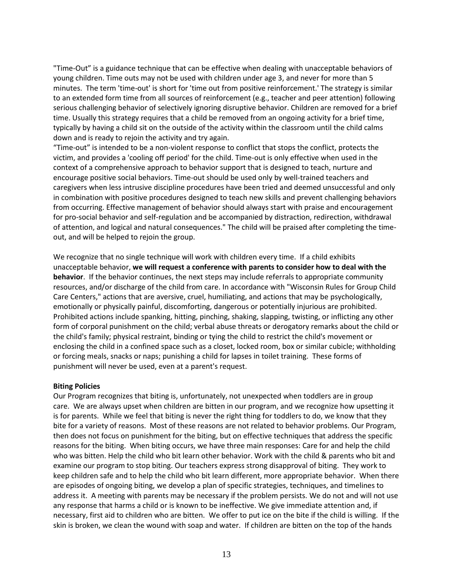"Time-Out" is a guidance technique that can be effective when dealing with unacceptable behaviors of young children. Time outs may not be used with children under age 3, and never for more than 5 minutes. The term 'time-out' is short for 'time out from positive reinforcement.' The strategy is similar to an extended form time from all sources of reinforcement (e.g., teacher and peer attention) following serious challenging behavior of selectively ignoring disruptive behavior. Children are removed for a brief time. Usually this strategy requires that a child be removed from an ongoing activity for a brief time, typically by having a child sit on the outside of the activity within the classroom until the child calms down and is ready to rejoin the activity and try again.

"Time-out" is intended to be a non-violent response to conflict that stops the conflict, protects the victim, and provides a 'cooling off period' for the child. Time-out is only effective when used in the context of a comprehensive approach to behavior support that is designed to teach, nurture and encourage positive social behaviors. Time-out should be used only by well-trained teachers and caregivers when less intrusive discipline procedures have been tried and deemed unsuccessful and only in combination with positive procedures designed to teach new skills and prevent challenging behaviors from occurring. Effective management of behavior should always start with praise and encouragement for pro-social behavior and self-regulation and be accompanied by distraction, redirection, withdrawal of attention, and logical and natural consequences." The child will be praised after completing the timeout, and will be helped to rejoin the group.

We recognize that no single technique will work with children every time. If a child exhibits unacceptable behavior, **we will request a conference with parents to consider how to deal with the behavior**. If the behavior continues, the next steps may include referrals to appropriate community resources, and/or discharge of the child from care. In accordance with "Wisconsin Rules for Group Child Care Centers," actions that are aversive, cruel, humiliating, and actions that may be psychologically, emotionally or physically painful, discomforting, dangerous or potentially injurious are prohibited. Prohibited actions include spanking, hitting, pinching, shaking, slapping, twisting, or inflicting any other form of corporal punishment on the child; verbal abuse threats or derogatory remarks about the child or the child's family; physical restraint, binding or tying the child to restrict the child's movement or enclosing the child in a confined space such as a closet, locked room, box or similar cubicle; withholding or forcing meals, snacks or naps; punishing a child for lapses in toilet training. These forms of punishment will never be used, even at a parent's request.

#### **Biting Policies**

Our Program recognizes that biting is, unfortunately, not unexpected when toddlers are in group care. We are always upset when children are bitten in our program, and we recognize how upsetting it is for parents. While we feel that biting is never the right thing for toddlers to do, we know that they bite for a variety of reasons. Most of these reasons are not related to behavior problems. Our Program, then does not focus on punishment for the biting, but on effective techniques that address the specific reasons for the biting. When biting occurs, we have three main responses: Care for and help the child who was bitten. Help the child who bit learn other behavior. Work with the child & parents who bit and examine our program to stop biting. Our teachers express strong disapproval of biting. They work to keep children safe and to help the child who bit learn different, more appropriate behavior. When there are episodes of ongoing biting, we develop a plan of specific strategies, techniques, and timelines to address it. A meeting with parents may be necessary if the problem persists. We do not and will not use any response that harms a child or is known to be ineffective. We give immediate attention and, if necessary, first aid to children who are bitten. We offer to put ice on the bite if the child is willing. If the skin is broken, we clean the wound with soap and water. If children are bitten on the top of the hands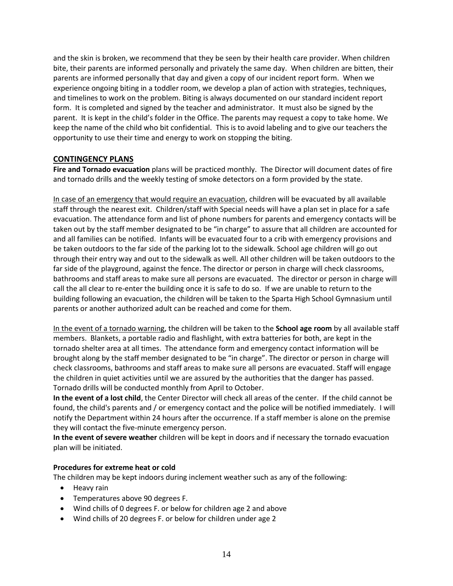and the skin is broken, we recommend that they be seen by their health care provider. When children bite, their parents are informed personally and privately the same day. When children are bitten, their parents are informed personally that day and given a copy of our incident report form. When we experience ongoing biting in a toddler room, we develop a plan of action with strategies, techniques, and timelines to work on the problem. Biting is always documented on our standard incident report form. It is completed and signed by the teacher and administrator. It must also be signed by the parent. It is kept in the child's folder in the Office. The parents may request a copy to take home. We keep the name of the child who bit confidential. This is to avoid labeling and to give our teachers the opportunity to use their time and energy to work on stopping the biting.

## **CONTINGENCY PLANS**

**Fire and Tornado evacuation** plans will be practiced monthly. The Director will document dates of fire and tornado drills and the weekly testing of smoke detectors on a form provided by the state.

In case of an emergency that would require an evacuation, children will be evacuated by all available staff through the nearest exit. Children/staff with Special needs will have a plan set in place for a safe evacuation. The attendance form and list of phone numbers for parents and emergency contacts will be taken out by the staff member designated to be "in charge" to assure that all children are accounted for and all families can be notified. Infants will be evacuated four to a crib with emergency provisions and be taken outdoors to the far side of the parking lot to the sidewalk. School age children will go out through their entry way and out to the sidewalk as well. All other children will be taken outdoors to the far side of the playground, against the fence. The director or person in charge will check classrooms, bathrooms and staff areas to make sure all persons are evacuated. The director or person in charge will call the all clear to re-enter the building once it is safe to do so. If we are unable to return to the building following an evacuation, the children will be taken to the Sparta High School Gymnasium until parents or another authorized adult can be reached and come for them.

In the event of a tornado warning, the children will be taken to the **School age room** by all available staff members. Blankets, a portable radio and flashlight, with extra batteries for both, are kept in the tornado shelter area at all times. The attendance form and emergency contact information will be brought along by the staff member designated to be "in charge". The director or person in charge will check classrooms, bathrooms and staff areas to make sure all persons are evacuated. Staff will engage the children in quiet activities until we are assured by the authorities that the danger has passed. Tornado drills will be conducted monthly from April to October.

**In the event of a lost child**, the Center Director will check all areas of the center. If the child cannot be found, the child's parents and / or emergency contact and the police will be notified immediately. I will notify the Department within 24 hours after the occurrence. If a staff member is alone on the premise they will contact the five-minute emergency person.

**In the event of severe weather** children will be kept in doors and if necessary the tornado evacuation plan will be initiated.

#### **Procedures for extreme heat or cold**

The children may be kept indoors during inclement weather such as any of the following:

- Heavy rain
- Temperatures above 90 degrees F.
- Wind chills of 0 degrees F. or below for children age 2 and above
- Wind chills of 20 degrees F. or below for children under age 2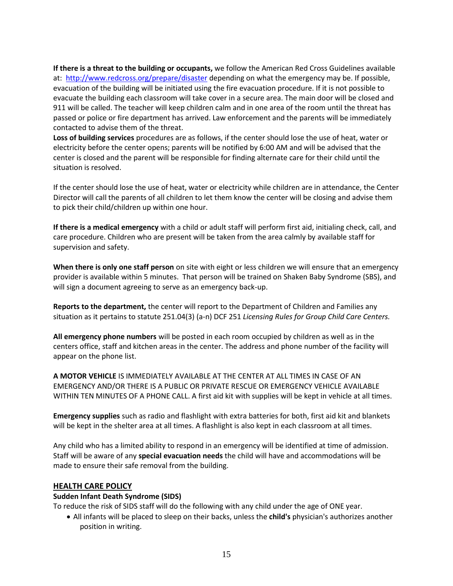**If there is a threat to the building or occupants,** we follow the American Red Cross Guidelines available at: <http://www.redcross.org/prepare/disaster> depending on what the emergency may be. If possible, evacuation of the building will be initiated using the fire evacuation procedure. If it is not possible to evacuate the building each classroom will take cover in a secure area. The main door will be closed and 911 will be called. The teacher will keep children calm and in one area of the room until the threat has passed or police or fire department has arrived. Law enforcement and the parents will be immediately contacted to advise them of the threat.

**Loss of building services** procedures are as follows, if the center should lose the use of heat, water or electricity before the center opens; parents will be notified by 6:00 AM and will be advised that the center is closed and the parent will be responsible for finding alternate care for their child until the situation is resolved.

If the center should lose the use of heat, water or electricity while children are in attendance, the Center Director will call the parents of all children to let them know the center will be closing and advise them to pick their child/children up within one hour.

**If there is a medical emergency** with a child or adult staff will perform first aid, initialing check, call, and care procedure. Children who are present will be taken from the area calmly by available staff for supervision and safety.

**When there is only one staff person** on site with eight or less children we will ensure that an emergency provider is available within 5 minutes. That person will be trained on Shaken Baby Syndrome (SBS), and will sign a document agreeing to serve as an emergency back-up.

**Reports to the department,** the center will report to the Department of Children and Families any situation as it pertains to statute 251.04(3) (a-n) DCF 251 *Licensing Rules for Group Child Care Centers.* 

**All emergency phone numbers** will be posted in each room occupied by children as well as in the centers office, staff and kitchen areas in the center. The address and phone number of the facility will appear on the phone list.

**A MOTOR VEHICLE** IS IMMEDIATELY AVAILABLE AT THE CENTER AT ALL TIMES IN CASE OF AN EMERGENCY AND/OR THERE IS A PUBLIC OR PRIVATE RESCUE OR EMERGENCY VEHICLE AVAILABLE WITHIN TEN MINUTES OF A PHONE CALL. A first aid kit with supplies will be kept in vehicle at all times.

**Emergency supplies** such as radio and flashlight with extra batteries for both, first aid kit and blankets will be kept in the shelter area at all times. A flashlight is also kept in each classroom at all times.

Any child who has a limited ability to respond in an emergency will be identified at time of admission. Staff will be aware of any **special evacuation needs** the child will have and accommodations will be made to ensure their safe removal from the building.

# **HEALTH CARE POLICY**

#### **Sudden Infant Death Syndrome (SIDS)**

To reduce the risk of SIDS staff will do the following with any child under the age of ONE year.

 All infants will be placed to sleep on their backs, unless the **child's** physician's authorizes another position in writing.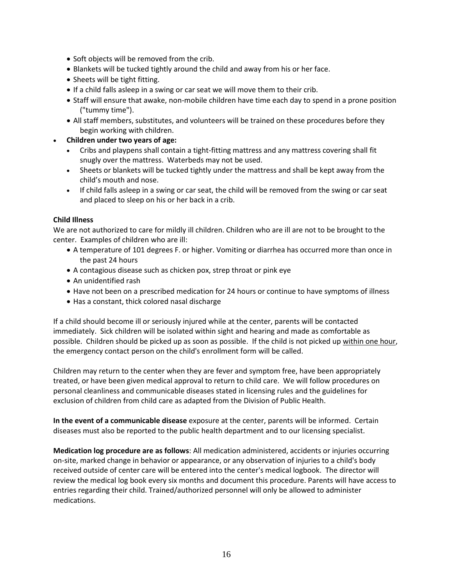- Soft objects will be removed from the crib.
- Blankets will be tucked tightly around the child and away from his or her face.
- Sheets will be tight fitting.
- If a child falls asleep in a swing or car seat we will move them to their crib.
- Staff will ensure that awake, non-mobile children have time each day to spend in a prone position ("tummy time").
- All staff members, substitutes, and volunteers will be trained on these procedures before they begin working with children.
- **Children under two years of age:**
	- Cribs and playpens shall contain a tight-fitting mattress and any mattress covering shall fit snugly over the mattress. Waterbeds may not be used.
	- Sheets or blankets will be tucked tightly under the mattress and shall be kept away from the child's mouth and nose.
	- If child falls asleep in a swing or car seat, the child will be removed from the swing or car seat and placed to sleep on his or her back in a crib.

#### **Child Illness**

We are not authorized to care for mildly ill children. Children who are ill are not to be brought to the center. Examples of children who are ill:

- A temperature of 101 degrees F. or higher. Vomiting or diarrhea has occurred more than once in the past 24 hours
- A contagious disease such as chicken pox, strep throat or pink eye
- An unidentified rash
- Have not been on a prescribed medication for 24 hours or continue to have symptoms of illness
- Has a constant, thick colored nasal discharge

If a child should become ill or seriously injured while at the center, parents will be contacted immediately. Sick children will be isolated within sight and hearing and made as comfortable as possible. Children should be picked up as soon as possible. If the child is not picked up within one hour, the emergency contact person on the child's enrollment form will be called.

Children may return to the center when they are fever and symptom free, have been appropriately treated, or have been given medical approval to return to child care. We will follow procedures on personal cleanliness and communicable diseases stated in licensing rules and the guidelines for exclusion of children from child care as adapted from the Division of Public Health.

**In the event of a communicable disease** exposure at the center, parents will be informed. Certain diseases must also be reported to the public health department and to our licensing specialist.

**Medication log procedure are as follows**: All medication administered, accidents or injuries occurring on-site, marked change in behavior or appearance, or any observation of injuries to a child's body received outside of center care will be entered into the center's medical logbook. The director will review the medical log book every six months and document this procedure. Parents will have access to entries regarding their child. Trained/authorized personnel will only be allowed to administer medications.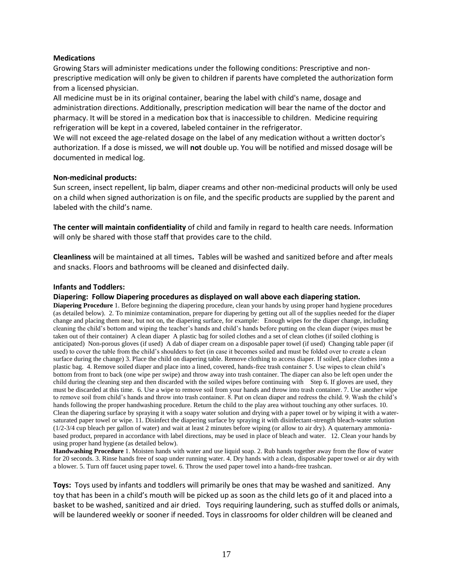#### **Medications**

Growing Stars will administer medications under the following conditions: Prescriptive and nonprescriptive medication will only be given to children if parents have completed the authorization form from a licensed physician.

All medicine must be in its original container, bearing the label with child's name, dosage and administration directions. Additionally, prescription medication will bear the name of the doctor and pharmacy. It will be stored in a medication box that is inaccessible to children. Medicine requiring refrigeration will be kept in a covered, labeled container in the refrigerator.

We will not exceed the age-related dosage on the label of any medication without a written doctor's authorization. If a dose is missed, we will **not** double up. You will be notified and missed dosage will be documented in medical log.

#### **Non-medicinal products:**

Sun screen, insect repellent, lip balm, diaper creams and other non-medicinal products will only be used on a child when signed authorization is on file, and the specific products are supplied by the parent and labeled with the child's name.

**The center will maintain confidentiality** of child and family in regard to health care needs. Information will only be shared with those staff that provides care to the child.

**Cleanliness** will be maintained at all times**.** Tables will be washed and sanitized before and after meals and snacks. Floors and bathrooms will be cleaned and disinfected daily.

#### **Infants and Toddlers:**

**Diapering: Follow Diapering procedures as displayed on wall above each diapering station.**

**Diapering Procedure** 1. Before beginning the diapering procedure, clean your hands by using proper hand hygiene procedures (as detailed below). 2. To minimize contamination, prepare for diapering by getting out all of the supplies needed for the diaper change and placing them near, but not on, the diapering surface, for example: Enough wipes for the diaper change, including cleaning the child's bottom and wiping the teacher's hands and child's hands before putting on the clean diaper (wipes must be taken out of their container) A clean diaper A plastic bag for soiled clothes and a set of clean clothes (if soiled clothing is anticipated) Non-porous gloves (if used) A dab of diaper cream on a disposable paper towel (if used) Changing table paper (if used) to cover the table from the child's shoulders to feet (in case it becomes soiled and must be folded over to create a clean surface during the change) 3. Place the child on diapering table. Remove clothing to access diaper. If soiled, place clothes into a plastic bag. 4. Remove soiled diaper and place into a lined, covered, hands-free trash container 5. Use wipes to clean child's bottom from front to back (one wipe per swipe) and throw away into trash container. The diaper can also be left open under the child during the cleaning step and then discarded with the soiled wipes before continuing with Step 6. If gloves are used, they must be discarded at this time. 6. Use a wipe to remove soil from your hands and throw into trash container. 7. Use another wipe to remove soil from child's hands and throw into trash container. 8. Put on clean diaper and redress the child. 9. Wash the child's hands following the proper handwashing procedure. Return the child to the play area without touching any other surfaces. 10. Clean the diapering surface by spraying it with a soapy water solution and drying with a paper towel or by wiping it with a watersaturated paper towel or wipe. 11. Disinfect the diapering surface by spraying it with disinfectant-strength bleach-water solution (1/2-3/4 cup bleach per gallon of water) and wait at least 2 minutes before wiping (or allow to air dry). A quaternary ammoniabased product, prepared in accordance with label directions, may be used in place of bleach and water. 12. Clean your hands by using proper hand hygiene (as detailed below).

**Handwashing Procedure** 1. Moisten hands with water and use liquid soap. 2. Rub hands together away from the flow of water for 20 seconds. 3. Rinse hands free of soap under running water. 4. Dry hands with a clean, disposable paper towel or air dry with a blower. 5. Turn off faucet using paper towel. 6. Throw the used paper towel into a hands-free trashcan.

**Toys:** Toys used by infants and toddlers will primarily be ones that may be washed and sanitized. Any toy that has been in a child's mouth will be picked up as soon as the child lets go of it and placed into a basket to be washed, sanitized and air dried. Toys requiring laundering, such as stuffed dolls or animals, will be laundered weekly or sooner if needed. Toys in classrooms for older children will be cleaned and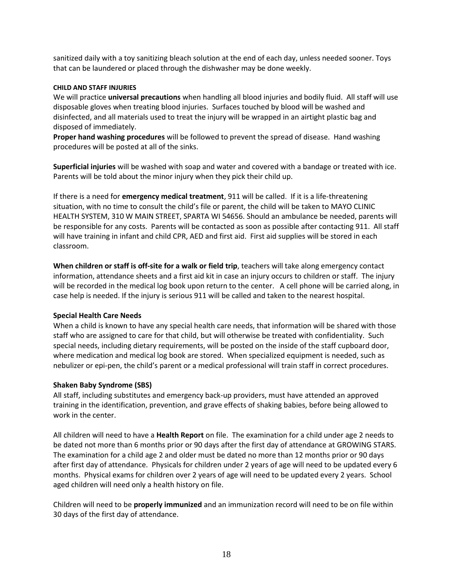sanitized daily with a toy sanitizing bleach solution at the end of each day, unless needed sooner. Toys that can be laundered or placed through the dishwasher may be done weekly.

#### **CHILD AND STAFF INJURIES**

We will practice **universal precautions** when handling all blood injuries and bodily fluid. All staff will use disposable gloves when treating blood injuries. Surfaces touched by blood will be washed and disinfected, and all materials used to treat the injury will be wrapped in an airtight plastic bag and disposed of immediately.

**Proper hand washing procedures** will be followed to prevent the spread of disease. Hand washing procedures will be posted at all of the sinks.

**Superficial injuries** will be washed with soap and water and covered with a bandage or treated with ice. Parents will be told about the minor injury when they pick their child up.

If there is a need for **emergency medical treatment**, 911 will be called. If it is a life-threatening situation, with no time to consult the child's file or parent, the child will be taken to MAYO CLINIC HEALTH SYSTEM, 310 W MAIN STREET, SPARTA WI 54656. Should an ambulance be needed, parents will be responsible for any costs. Parents will be contacted as soon as possible after contacting 911. All staff will have training in infant and child CPR, AED and first aid. First aid supplies will be stored in each classroom.

**When children or staff is off-site for a walk or field trip**, teachers will take along emergency contact information, attendance sheets and a first aid kit in case an injury occurs to children or staff. The injury will be recorded in the medical log book upon return to the center. A cell phone will be carried along, in case help is needed. If the injury is serious 911 will be called and taken to the nearest hospital.

#### **Special Health Care Needs**

When a child is known to have any special health care needs, that information will be shared with those staff who are assigned to care for that child, but will otherwise be treated with confidentiality. Such special needs, including dietary requirements, will be posted on the inside of the staff cupboard door, where medication and medical log book are stored. When specialized equipment is needed, such as nebulizer or epi-pen, the child's parent or a medical professional will train staff in correct procedures.

#### **Shaken Baby Syndrome (SBS)**

All staff, including substitutes and emergency back-up providers, must have attended an approved training in the identification, prevention, and grave effects of shaking babies, before being allowed to work in the center.

All children will need to have a **Health Report** on file. The examination for a child under age 2 needs to be dated not more than 6 months prior or 90 days after the first day of attendance at GROWING STARS. The examination for a child age 2 and older must be dated no more than 12 months prior or 90 days after first day of attendance. Physicals for children under 2 years of age will need to be updated every 6 months. Physical exams for children over 2 years of age will need to be updated every 2 years. School aged children will need only a health history on file.

Children will need to be **properly immunized** and an immunization record will need to be on file within 30 days of the first day of attendance.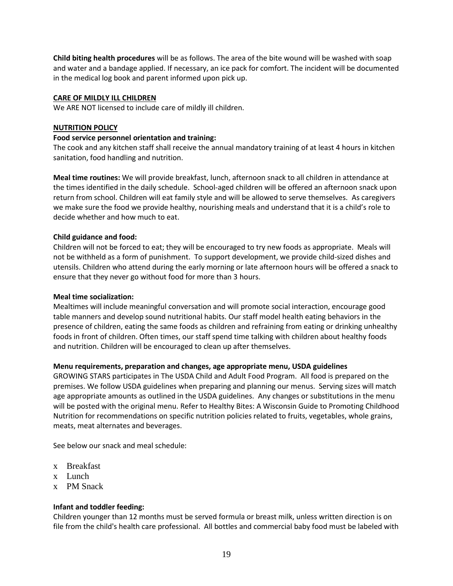**Child biting health procedures** will be as follows. The area of the bite wound will be washed with soap and water and a bandage applied. If necessary, an ice pack for comfort. The incident will be documented in the medical log book and parent informed upon pick up.

## **CARE OF MILDLY ILL CHILDREN**

We ARE NOT licensed to include care of mildly ill children.

#### **NUTRITION POLICY**

## **Food service personnel orientation and training:**

The cook and any kitchen staff shall receive the annual mandatory training of at least 4 hours in kitchen sanitation, food handling and nutrition.

**Meal time routines:** We will provide breakfast, lunch, afternoon snack to all children in attendance at the times identified in the daily schedule. School-aged children will be offered an afternoon snack upon return from school. Children will eat family style and will be allowed to serve themselves. As caregivers we make sure the food we provide healthy, nourishing meals and understand that it is a child's role to decide whether and how much to eat.

## **Child guidance and food:**

Children will not be forced to eat; they will be encouraged to try new foods as appropriate. Meals will not be withheld as a form of punishment. To support development, we provide child-sized dishes and utensils. Children who attend during the early morning or late afternoon hours will be offered a snack to ensure that they never go without food for more than 3 hours.

#### **Meal time socialization:**

Mealtimes will include meaningful conversation and will promote social interaction, encourage good table manners and develop sound nutritional habits. Our staff model health eating behaviors in the presence of children, eating the same foods as children and refraining from eating or drinking unhealthy foods in front of children. Often times, our staff spend time talking with children about healthy foods and nutrition. Children will be encouraged to clean up after themselves.

# **Menu requirements, preparation and changes, age appropriate menu, USDA guidelines**

GROWING STARS participates in The USDA Child and Adult Food Program. All food is prepared on the premises. We follow USDA guidelines when preparing and planning our menus. Serving sizes will match age appropriate amounts as outlined in the USDA guidelines. Any changes or substitutions in the menu will be posted with the original menu. Refer to Healthy Bites: A Wisconsin Guide to Promoting Childhood Nutrition for recommendations on specific nutrition policies related to fruits, vegetables, whole grains, meats, meat alternates and beverages.

See below our snack and meal schedule:

- x Breakfast
- x Lunch
- x PM Snack

# **Infant and toddler feeding:**

Children younger than 12 months must be served formula or breast milk, unless written direction is on file from the child's health care professional. All bottles and commercial baby food must be labeled with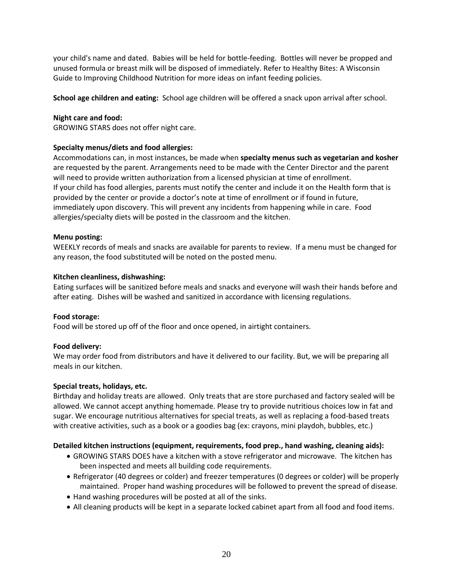your child's name and dated. Babies will be held for bottle-feeding. Bottles will never be propped and unused formula or breast milk will be disposed of immediately. Refer to Healthy Bites: A Wisconsin Guide to Improving Childhood Nutrition for more ideas on infant feeding policies.

**School age children and eating:** School age children will be offered a snack upon arrival after school.

#### **Night care and food:**

GROWING STARS does not offer night care.

#### **Specialty menus/diets and food allergies:**

Accommodations can, in most instances, be made when **specialty menus such as vegetarian and kosher** are requested by the parent. Arrangements need to be made with the Center Director and the parent will need to provide written authorization from a licensed physician at time of enrollment. If your child has food allergies, parents must notify the center and include it on the Health form that is provided by the center or provide a doctor's note at time of enrollment or if found in future, immediately upon discovery. This will prevent any incidents from happening while in care. Food allergies/specialty diets will be posted in the classroom and the kitchen.

#### **Menu posting:**

WEEKLY records of meals and snacks are available for parents to review. If a menu must be changed for any reason, the food substituted will be noted on the posted menu.

#### **Kitchen cleanliness, dishwashing:**

Eating surfaces will be sanitized before meals and snacks and everyone will wash their hands before and after eating. Dishes will be washed and sanitized in accordance with licensing regulations.

#### **Food storage:**

Food will be stored up off of the floor and once opened, in airtight containers.

#### **Food delivery:**

We may order food from distributors and have it delivered to our facility. But, we will be preparing all meals in our kitchen.

#### **Special treats, holidays, etc.**

Birthday and holiday treats are allowed. Only treats that are store purchased and factory sealed will be allowed. We cannot accept anything homemade. Please try to provide nutritious choices low in fat and sugar. We encourage nutritious alternatives for special treats, as well as replacing a food-based treats with creative activities, such as a book or a goodies bag (ex: crayons, mini playdoh, bubbles, etc.)

#### **Detailed kitchen instructions (equipment, requirements, food prep., hand washing, cleaning aids):**

- GROWING STARS DOES have a kitchen with a stove refrigerator and microwave. The kitchen has been inspected and meets all building code requirements.
- Refrigerator (40 degrees or colder) and freezer temperatures (0 degrees or colder) will be properly maintained. Proper hand washing procedures will be followed to prevent the spread of disease.
- Hand washing procedures will be posted at all of the sinks.
- All cleaning products will be kept in a separate locked cabinet apart from all food and food items.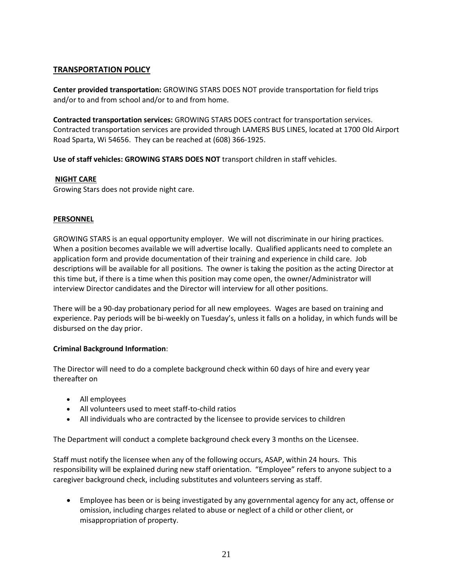# **TRANSPORTATION POLICY**

**Center provided transportation:** GROWING STARS DOES NOT provide transportation for field trips and/or to and from school and/or to and from home.

**Contracted transportation services:** GROWING STARS DOES contract for transportation services. Contracted transportation services are provided through LAMERS BUS LINES, located at 1700 Old Airport Road Sparta, Wi 54656. They can be reached at (608) 366-1925.

**Use of staff vehicles: GROWING STARS DOES NOT** transport children in staff vehicles.

## **NIGHT CARE**

Growing Stars does not provide night care.

## **PERSONNEL**

GROWING STARS is an equal opportunity employer. We will not discriminate in our hiring practices. When a position becomes available we will advertise locally. Qualified applicants need to complete an application form and provide documentation of their training and experience in child care. Job descriptions will be available for all positions. The owner is taking the position as the acting Director at this time but, if there is a time when this position may come open, the owner/Administrator will interview Director candidates and the Director will interview for all other positions.

There will be a 90-day probationary period for all new employees. Wages are based on training and experience. Pay periods will be bi-weekly on Tuesday's, unless it falls on a holiday, in which funds will be disbursed on the day prior.

#### **Criminal Background Information**:

The Director will need to do a complete background check within 60 days of hire and every year thereafter on

- All employees
- All volunteers used to meet staff-to-child ratios
- All individuals who are contracted by the licensee to provide services to children

The Department will conduct a complete background check every 3 months on the Licensee.

Staff must notify the licensee when any of the following occurs, ASAP, within 24 hours. This responsibility will be explained during new staff orientation. "Employee" refers to anyone subject to a caregiver background check, including substitutes and volunteers serving as staff.

 Employee has been or is being investigated by any governmental agency for any act, offense or omission, including charges related to abuse or neglect of a child or other client, or misappropriation of property.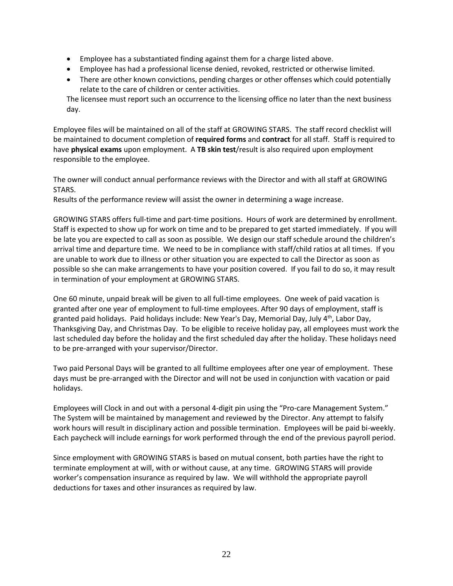- Employee has a substantiated finding against them for a charge listed above.
- Employee has had a professional license denied, revoked, restricted or otherwise limited.
- There are other known convictions, pending charges or other offenses which could potentially relate to the care of children or center activities.

The licensee must report such an occurrence to the licensing office no later than the next business day.

Employee files will be maintained on all of the staff at GROWING STARS. The staff record checklist will be maintained to document completion of **required forms** and **contract** for all staff. Staff is required to have **physical exams** upon employment. A **TB skin test**/result is also required upon employment responsible to the employee.

The owner will conduct annual performance reviews with the Director and with all staff at GROWING STARS.

Results of the performance review will assist the owner in determining a wage increase.

GROWING STARS offers full-time and part-time positions. Hours of work are determined by enrollment. Staff is expected to show up for work on time and to be prepared to get started immediately. If you will be late you are expected to call as soon as possible. We design our staff schedule around the children's arrival time and departure time. We need to be in compliance with staff/child ratios at all times. If you are unable to work due to illness or other situation you are expected to call the Director as soon as possible so she can make arrangements to have your position covered. If you fail to do so, it may result in termination of your employment at GROWING STARS.

One 60 minute, unpaid break will be given to all full-time employees. One week of paid vacation is granted after one year of employment to full-time employees. After 90 days of employment, staff is granted paid holidays. Paid holidays include: New Year's Day, Memorial Day, July 4th, Labor Day, Thanksgiving Day, and Christmas Day. To be eligible to receive holiday pay, all employees must work the last scheduled day before the holiday and the first scheduled day after the holiday. These holidays need to be pre-arranged with your supervisor/Director.

Two paid Personal Days will be granted to all fulltime employees after one year of employment. These days must be pre-arranged with the Director and will not be used in conjunction with vacation or paid holidays.

Employees will Clock in and out with a personal 4-digit pin using the "Pro-care Management System." The System will be maintained by management and reviewed by the Director. Any attempt to falsify work hours will result in disciplinary action and possible termination. Employees will be paid bi-weekly. Each paycheck will include earnings for work performed through the end of the previous payroll period.

Since employment with GROWING STARS is based on mutual consent, both parties have the right to terminate employment at will, with or without cause, at any time. GROWING STARS will provide worker's compensation insurance as required by law. We will withhold the appropriate payroll deductions for taxes and other insurances as required by law.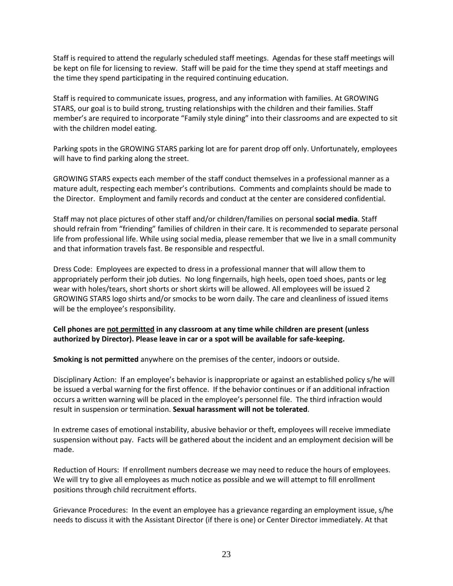Staff is required to attend the regularly scheduled staff meetings. Agendas for these staff meetings will be kept on file for licensing to review. Staff will be paid for the time they spend at staff meetings and the time they spend participating in the required continuing education.

Staff is required to communicate issues, progress, and any information with families. At GROWING STARS, our goal is to build strong, trusting relationships with the children and their families. Staff member's are required to incorporate "Family style dining" into their classrooms and are expected to sit with the children model eating.

Parking spots in the GROWING STARS parking lot are for parent drop off only. Unfortunately, employees will have to find parking along the street.

GROWING STARS expects each member of the staff conduct themselves in a professional manner as a mature adult, respecting each member's contributions. Comments and complaints should be made to the Director. Employment and family records and conduct at the center are considered confidential.

Staff may not place pictures of other staff and/or children/families on personal **social media**. Staff should refrain from "friending" families of children in their care. It is recommended to separate personal life from professional life. While using social media, please remember that we live in a small community and that information travels fast. Be responsible and respectful.

Dress Code: Employees are expected to dress in a professional manner that will allow them to appropriately perform their job duties. No long fingernails, high heels, open toed shoes, pants or leg wear with holes/tears, short shorts or short skirts will be allowed. All employees will be issued 2 GROWING STARS logo shirts and/or smocks to be worn daily. The care and cleanliness of issued items will be the employee's responsibility.

#### **Cell phones are not permitted in any classroom at any time while children are present (unless authorized by Director). Please leave in car or a spot will be available for safe-keeping.**

**Smoking is not permitted** anywhere on the premises of the center, indoors or outside.

Disciplinary Action: If an employee's behavior is inappropriate or against an established policy s/he will be issued a verbal warning for the first offence. If the behavior continues or if an additional infraction occurs a written warning will be placed in the employee's personnel file. The third infraction would result in suspension or termination. **Sexual harassment will not be tolerated**.

In extreme cases of emotional instability, abusive behavior or theft, employees will receive immediate suspension without pay. Facts will be gathered about the incident and an employment decision will be made.

Reduction of Hours: If enrollment numbers decrease we may need to reduce the hours of employees. We will try to give all employees as much notice as possible and we will attempt to fill enrollment positions through child recruitment efforts.

Grievance Procedures: In the event an employee has a grievance regarding an employment issue, s/he needs to discuss it with the Assistant Director (if there is one) or Center Director immediately. At that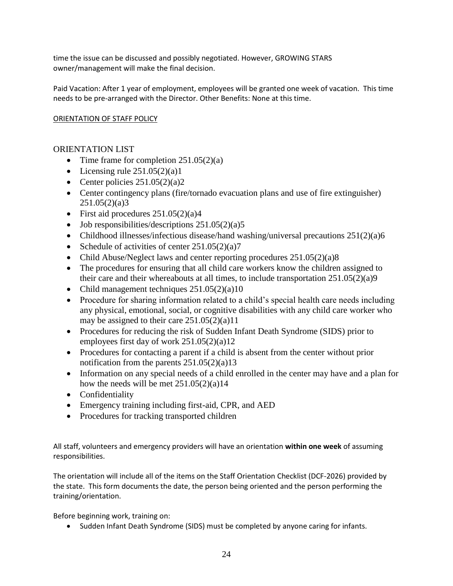time the issue can be discussed and possibly negotiated. However, GROWING STARS owner/management will make the final decision.

Paid Vacation: After 1 year of employment, employees will be granted one week of vacation. This time needs to be pre-arranged with the Director. Other Benefits: None at this time.

## ORIENTATION OF STAFF POLICY

# ORIENTATION LIST

- Time frame for completion  $251.05(2)(a)$
- Licensing rule  $251.05(2)(a)1$
- Center policies  $251.05(2)(a)2$
- Center contingency plans (fire/tornado evacuation plans and use of fire extinguisher)  $251.05(2)(a)3$
- First aid procedures  $251.05(2)(a)4$
- $\bullet$  Job responsibilities/descriptions 251.05(2)(a)5
- Childhood illnesses/infectious disease/hand washing/universal precautions  $251(2)(a)6$
- Schedule of activities of center  $251.05(2)(a)7$
- Child Abuse/Neglect laws and center reporting procedures 251.05(2)(a)8
- The procedures for ensuring that all child care workers know the children assigned to their care and their whereabouts at all times, to include transportation 251.05(2)(a)9
- Child management techniques  $251.05(2)(a)10$
- Procedure for sharing information related to a child's special health care needs including any physical, emotional, social, or cognitive disabilities with any child care worker who may be assigned to their care 251.05(2)(a)11
- Procedures for reducing the risk of Sudden Infant Death Syndrome (SIDS) prior to employees first day of work 251.05(2)(a)12
- Procedures for contacting a parent if a child is absent from the center without prior notification from the parents  $251.05(2)(a)13$
- Information on any special needs of a child enrolled in the center may have and a plan for how the needs will be met  $251.05(2)(a)14$
- Confidentiality
- Emergency training including first-aid, CPR, and AED
- Procedures for tracking transported children

All staff, volunteers and emergency providers will have an orientation **within one week** of assuming responsibilities.

The orientation will include all of the items on the Staff Orientation Checklist (DCF-2026) provided by the state. This form documents the date, the person being oriented and the person performing the training/orientation.

Before beginning work, training on:

• Sudden Infant Death Syndrome (SIDS) must be completed by anyone caring for infants.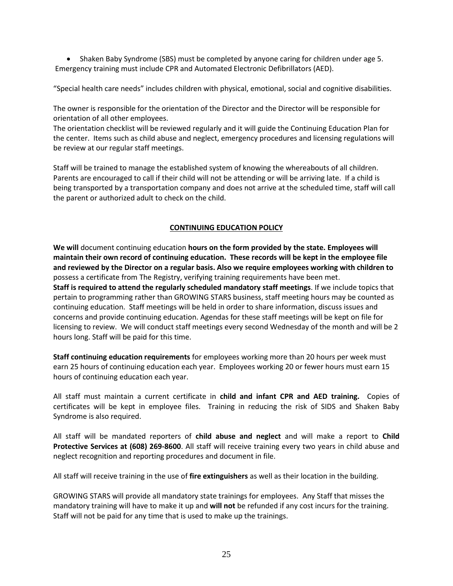• Shaken Baby Syndrome (SBS) must be completed by anyone caring for children under age 5. Emergency training must include CPR and Automated Electronic Defibrillators (AED).

"Special health care needs" includes children with physical, emotional, social and cognitive disabilities.

The owner is responsible for the orientation of the Director and the Director will be responsible for orientation of all other employees.

The orientation checklist will be reviewed regularly and it will guide the Continuing Education Plan for the center. Items such as child abuse and neglect, emergency procedures and licensing regulations will be review at our regular staff meetings.

Staff will be trained to manage the established system of knowing the whereabouts of all children. Parents are encouraged to call if their child will not be attending or will be arriving late. If a child is being transported by a transportation company and does not arrive at the scheduled time, staff will call the parent or authorized adult to check on the child.

## **CONTINUING EDUCATION POLICY**

**We will** document continuing education **hours on the form provided by the state. Employees will maintain their own record of continuing education. These records will be kept in the employee file and reviewed by the Director on a regular basis. Also we require employees working with children to** possess a certificate from The Registry, verifying training requirements have been met. **Staff is required to attend the regularly scheduled mandatory staff meetings**. If we include topics that pertain to programming rather than GROWING STARS business, staff meeting hours may be counted as continuing education. Staff meetings will be held in order to share information, discuss issues and concerns and provide continuing education. Agendas for these staff meetings will be kept on file for licensing to review. We will conduct staff meetings every second Wednesday of the month and will be 2 hours long. Staff will be paid for this time.

**Staff continuing education requirements** for employees working more than 20 hours per week must earn 25 hours of continuing education each year. Employees working 20 or fewer hours must earn 15 hours of continuing education each year.

All staff must maintain a current certificate in **child and infant CPR and AED training.** Copies of certificates will be kept in employee files. Training in reducing the risk of SIDS and Shaken Baby Syndrome is also required.

All staff will be mandated reporters of **child abuse and neglect** and will make a report to **Child Protective Services at (608) 269-8600**. All staff will receive training every two years in child abuse and neglect recognition and reporting procedures and document in file.

All staff will receive training in the use of **fire extinguishers** as well as their location in the building.

GROWING STARS will provide all mandatory state trainings for employees. Any Staff that misses the mandatory training will have to make it up and **will not** be refunded if any cost incurs for the training. Staff will not be paid for any time that is used to make up the trainings.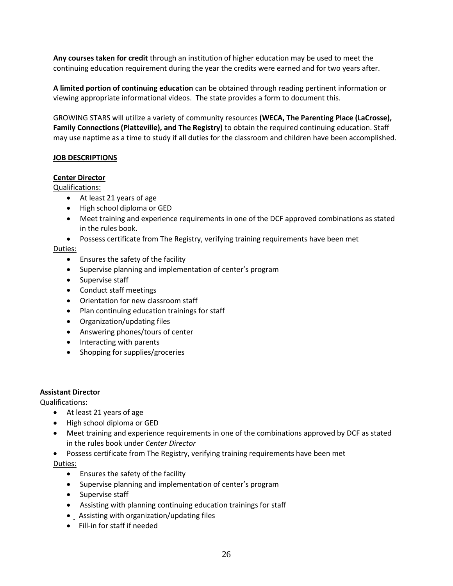**Any courses taken for credit** through an institution of higher education may be used to meet the continuing education requirement during the year the credits were earned and for two years after.

**A limited portion of continuing education** can be obtained through reading pertinent information or viewing appropriate informational videos. The state provides a form to document this.

GROWING STARS will utilize a variety of community resources **(WECA, The Parenting Place (LaCrosse), Family Connections (Platteville), and The Registry)** to obtain the required continuing education. Staff may use naptime as a time to study if all duties for the classroom and children have been accomplished.

## **JOB DESCRIPTIONS**

## **Center Director**

Qualifications:

- At least 21 years of age
- High school diploma or GED
- Meet training and experience requirements in one of the DCF approved combinations as stated in the rules book.
- Possess certificate from The Registry, verifying training requirements have been met

## Duties:

- Ensures the safety of the facility
- Supervise planning and implementation of center's program
- Supervise staff
- Conduct staff meetings
- Orientation for new classroom staff
- Plan continuing education trainings for staff
- Organization/updating files
- Answering phones/tours of center
- Interacting with parents
- Shopping for supplies/groceries

#### **Assistant Director**

Qualifications:

- At least 21 years of age
- High school diploma or GED
- Meet training and experience requirements in one of the combinations approved by DCF as stated in the rules book under *Center Director*
- Possess certificate from The Registry, verifying training requirements have been met

Duties:

- Ensures the safety of the facility
- Supervise planning and implementation of center's program
- Supervise staff
- Assisting with planning continuing education trainings for staff
- Assisting with organization/updating files
- Fill-in for staff if needed